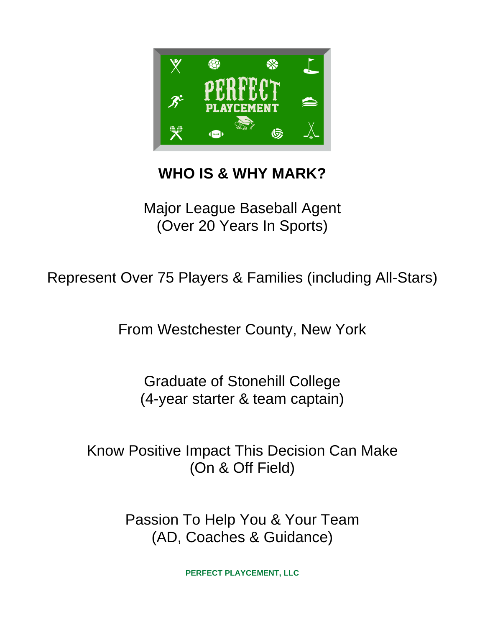

## **WHO IS & WHY MARK?**

Major League Baseball Agent (Over 20 Years In Sports)

Represent Over 75 Players & Families (including All-Stars)

From Westchester County, New York

Graduate of Stonehill College (4-year starter & team captain)

Know Positive Impact This Decision Can Make (On & Off Field)

> Passion To Help You & Your Team (AD, Coaches & Guidance)

> > **PERFECT PLAYCEMENT, LLC**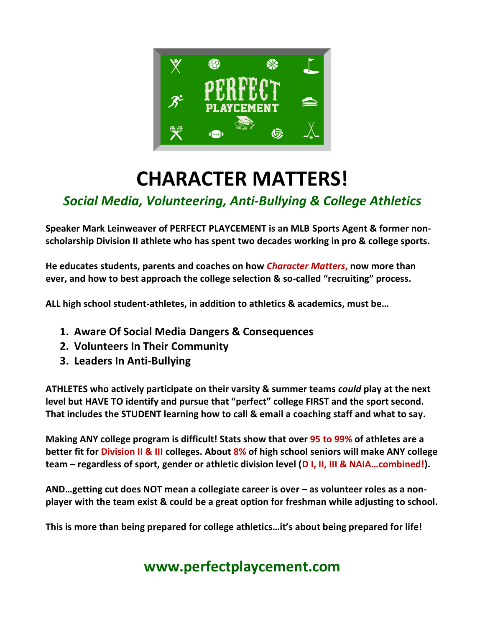

# **CHARACTER MATTERS!**

### *Social Media, Volunteering, Anti-Bullying & College Athletics*

**Speaker Mark Leinweaver of PERFECT PLAYCEMENT is an MLB Sports Agent & former nonscholarship Division II athlete who has spent two decades working in pro & college sports.**

**He educates students, parents and coaches on how** *Character Matters***, now more than ever, and how to best approach the college selection & so-called "recruiting" process.** 

**ALL high school student-athletes, in addition to athletics & academics, must be…**

- **1. Aware Of Social Media Dangers & Consequences**
- **2. Volunteers In Their Community**
- **3. Leaders In Anti-Bullying**

**ATHLETES who actively participate on their varsity & summer teams** *could* **play at the next level but HAVE TO identify and pursue that "perfect" college FIRST and the sport second. That includes the STUDENT learning how to call & email a coaching staff and what to say.**

**Making ANY college program is difficult! Stats show that over 95 to 99% of athletes are a better fit for Division II & III colleges. About 8% of high school seniors will make ANY college team – regardless of sport, gender or athletic division level (D I, II, III & NAIA…combined!).**

**AND…getting cut does NOT mean a collegiate career is over – as volunteer roles as a nonplayer with the team exist & could be a great option for freshman while adjusting to school.** 

**This is more than being prepared for college athletics…it's about being prepared for life!**

### **www.perfectplaycement.com**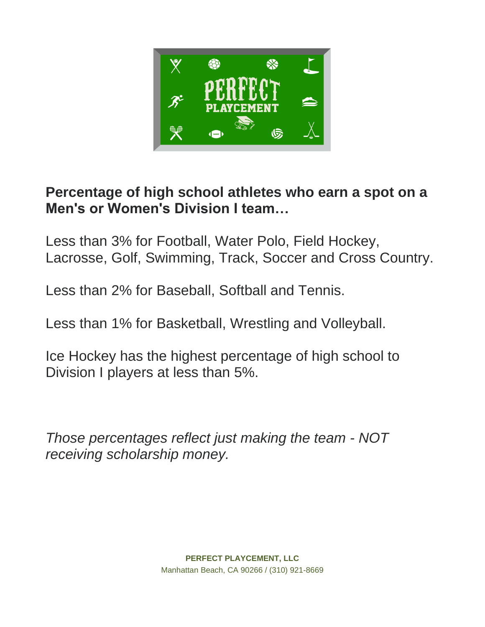

### **Percentage of high school athletes who earn a spot on a Men's or Women's Division I team…**

Less than 3% for Football, Water Polo, Field Hockey, Lacrosse, Golf, Swimming, Track, Soccer and Cross Country.

Less than 2% for Baseball, Softball and Tennis.

Less than 1% for Basketball, Wrestling and Volleyball.

Ice Hockey has the highest percentage of high school to Division I players at less than 5%.

*Those percentages reflect just making the team - NOT receiving scholarship money.*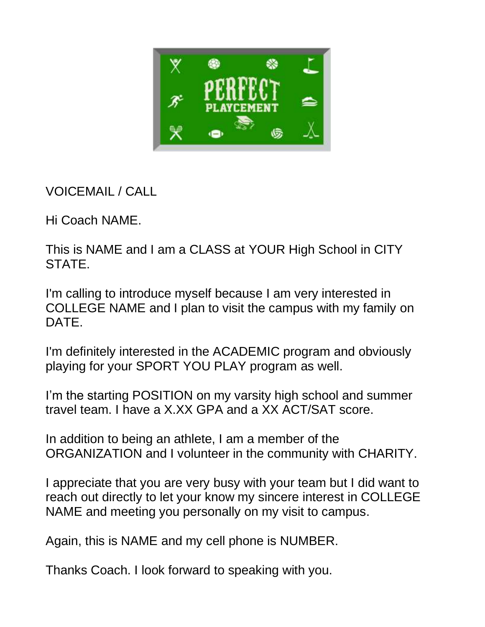

VOICEMAIL / CALL

Hi Coach NAME.

This is NAME and I am a CLASS at YOUR High School in CITY STATE.

I'm calling to introduce myself because I am very interested in COLLEGE NAME and I plan to visit the campus with my family on DATE.

I'm definitely interested in the ACADEMIC program and obviously playing for your SPORT YOU PLAY program as well.

I'm the starting POSITION on my varsity high school and summer travel team. I have a X.XX GPA and a XX ACT/SAT score.

In addition to being an athlete, I am a member of the ORGANIZATION and I volunteer in the community with CHARITY.

I appreciate that you are very busy with your team but I did want to reach out directly to let your know my sincere interest in COLLEGE NAME and meeting you personally on my visit to campus.

Again, this is NAME and my cell phone is NUMBER.

Thanks Coach. I look forward to speaking with you.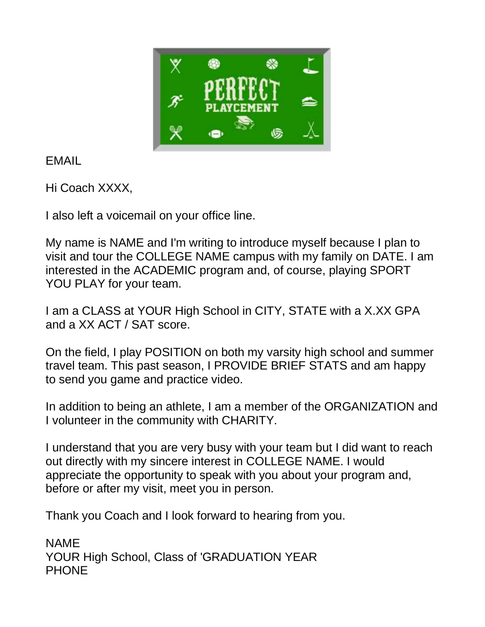

EMAIL

Hi Coach XXXX,

I also left a voicemail on your office line.

My name is NAME and I'm writing to introduce myself because I plan to visit and tour the COLLEGE NAME campus with my family on DATE. I am interested in the ACADEMIC program and, of course, playing SPORT YOU PLAY for your team.

I am a CLASS at YOUR High School in CITY, STATE with a X.XX GPA and a XX ACT / SAT score.

On the field, I play POSITION on both my varsity high school and summer travel team. This past season, I PROVIDE BRIEF STATS and am happy to send you game and practice video.

In addition to being an athlete, I am a member of the ORGANIZATION and I volunteer in the community with CHARITY.

I understand that you are very busy with your team but I did want to reach out directly with my sincere interest in COLLEGE NAME. I would appreciate the opportunity to speak with you about your program and, before or after my visit, meet you in person.

Thank you Coach and I look forward to hearing from you.

NAME YOUR High School, Class of 'GRADUATION YEAR PHONE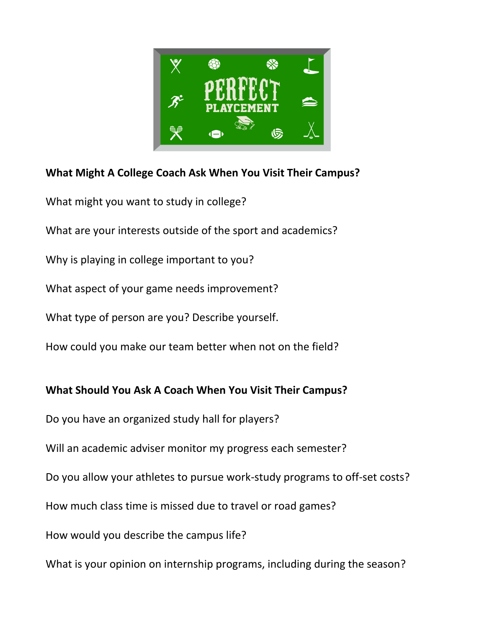

#### **What Might A College Coach Ask When You Visit Their Campus?**

What might you want to study in college?

What are your interests outside of the sport and academics?

Why is playing in college important to you?

What aspect of your game needs improvement?

What type of person are you? Describe yourself.

How could you make our team better when not on the field?

**What Should You Ask A Coach When You Visit Their Campus?**

Do you have an organized study hall for players?

Will an academic adviser monitor my progress each semester?

Do you allow your athletes to pursue work-study programs to off-set costs?

How much class time is missed due to travel or road games?

How would you describe the campus life?

What is your opinion on internship programs, including during the season?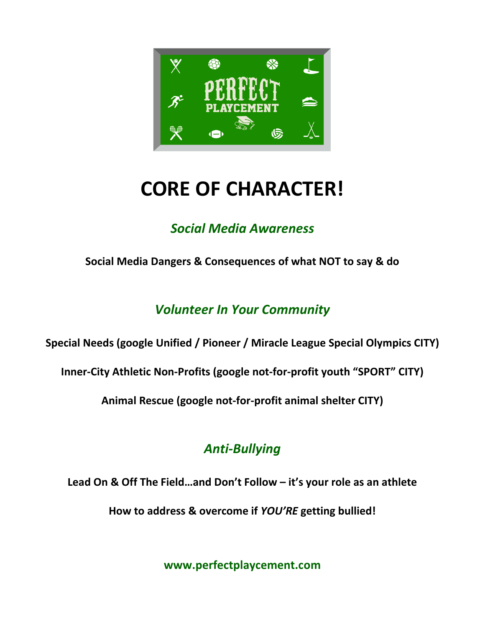

## **CORE OF CHARACTER!**

### *Social Media Awareness*

**Social Media Dangers & Consequences of what NOT to say & do**

### *Volunteer In Your Community*

#### **Special Needs (google Unified / Pioneer / Miracle League Special Olympics CITY)**

**Inner-City Athletic Non-Profits (google not-for-profit youth "SPORT" CITY)**

**Animal Rescue (google not-for-profit animal shelter CITY)**

### *Anti-Bullying*

**Lead On & Off The Field…and Don't Follow – it's your role as an athlete**

**How to address & overcome if** *YOU'RE* **getting bullied!**

**www.perfectplaycement.com**